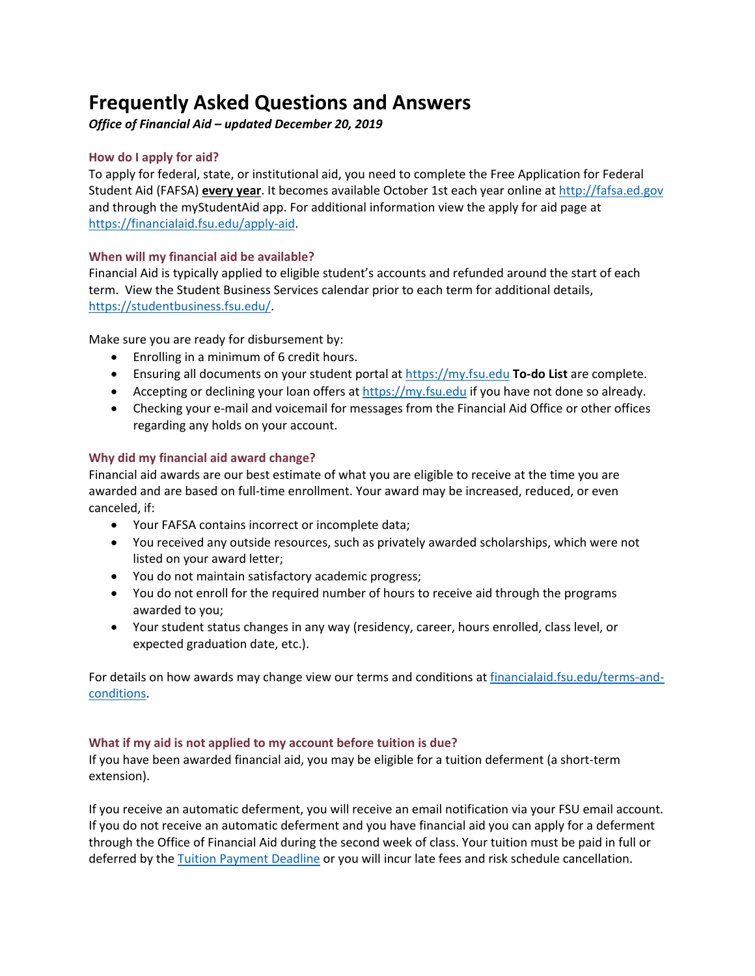# **Frequently Asked Questions and Answers**

*Office of Financial Aid – updated December 20, 2019*

# **How do I apply for aid?**

To apply for federal, state, or institutional aid, you need to complete the Free Application for Federal Student Aid (FAFSA) **every year**. It becomes available October 1st each year online at [http://fafsa.ed.gov](http://fafsa.ed.gov/) and through the myStudentAid app. For additional information view the apply for aid page at [https://financialaid.fsu.edu/apply-aid.](https://financialaid.fsu.edu/apply-aid)

# **When will my financial aid be available?**

Financial Aid is typically applied to eligible student's accounts and refunded around the start of each term. View the Student Business Services calendar prior to each term for additional details, [https://studentbusiness.fsu.edu/.](https://studentbusiness.fsu.edu/)

Make sure you are ready for disbursement by:

- Enrolling in a minimum of 6 credit hours.
- Ensuring all documents on your student portal at [https://my.fsu.edu](https://my.fsu.edu/) **To-do List** are complete.
- Accepting or declining your loan offers at [https://my.fsu.edu](https://my.fsu.edu/) if you have not done so already.
- Checking your e-mail and voicemail for messages from the Financial Aid Office or other offices regarding any holds on your account.

# **Why did my financial aid award change?**

Financial aid awards are our best estimate of what you are eligible to receive at the time you are awarded and are based on full-time enrollment. Your award may be increased, reduced, or even canceled, if:

- Your FAFSA contains incorrect or incomplete data;
- You received any outside resources, such as privately awarded scholarships, which were not listed on your award letter;
- You do not maintain satisfactory academic progress;
- You do not enroll for the required number of hours to receive aid through the programs awarded to you;
- Your student status changes in any way (residency, career, hours enrolled, class level, or expected graduation date, etc.).

For details on how awards may change view our terms and conditions at [financialaid.fsu.edu/terms-and](https://financialaid.fsu.edu/terms-and-conditions)[conditions.](https://financialaid.fsu.edu/terms-and-conditions)

## **What if my aid is not applied to my account before tuition is due?**

If you have been awarded financial aid, you may be eligible for a tuition deferment (a short-term extension).

If you receive an automatic deferment, you will receive an email notification via your FSU email account. If you do not receive an automatic deferment and you have financial aid you can apply for a deferment through the Office of Financial Aid during the second week of class. Your tuition must be paid in full or deferred by the [Tuition Payment Deadline](https://registrar.fsu.edu/calendar/) or you will incur late fees and risk schedule cancellation.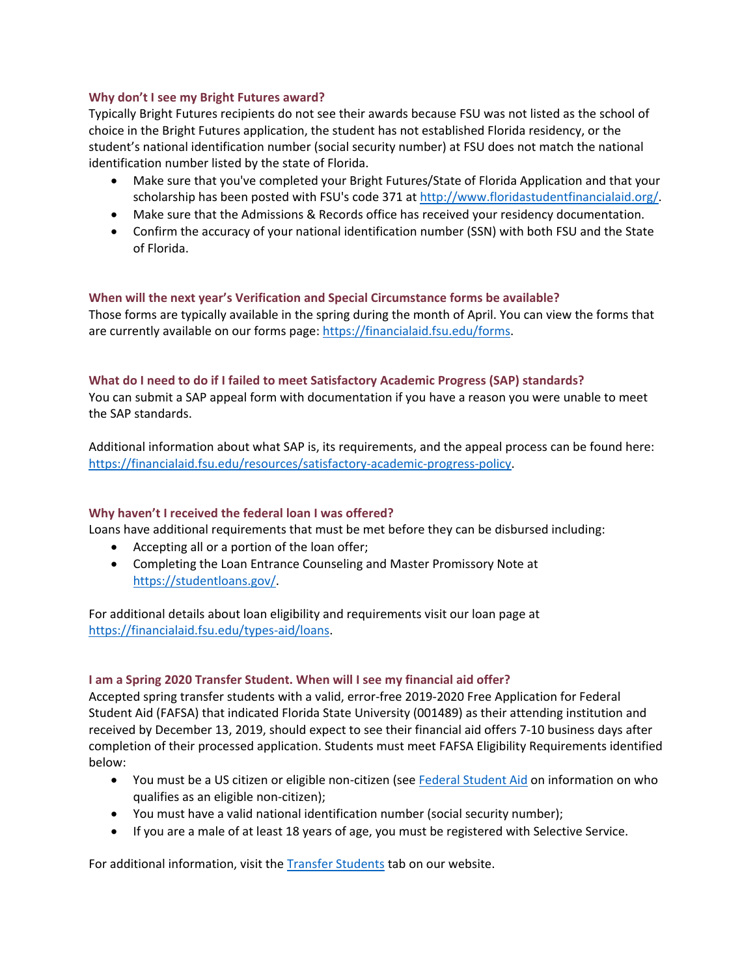## **Why don't I see my Bright Futures award?**

Typically Bright Futures recipients do not see their awards because FSU was not listed as the school of choice in the Bright Futures application, the student has not established Florida residency, or the student's national identification number (social security number) at FSU does not match the national identification number listed by the state of Florida.

- Make sure that you've completed your Bright Futures/State of Florida Application and that your scholarship has been posted with FSU's code 371 a[t http://www.floridastudentfinancialaid.org/.](http://www.floridastudentfinancialaid.org/)
- Make sure that the Admissions & Records office has received your residency documentation.
- Confirm the accuracy of your national identification number (SSN) with both FSU and the State of Florida.

#### **When will the next year's Verification and Special Circumstance forms be available?**

Those forms are typically available in the spring during the month of April. You can view the forms that are currently available on our forms page: [https://financialaid.fsu.edu/forms.](https://financialaid.fsu.edu/forms)

#### **What do I need to do if I failed to meet Satisfactory Academic Progress (SAP) standards?**

You can submit a SAP appeal form with documentation if you have a reason you were unable to meet the SAP standards.

Additional information about what SAP is, its requirements, and the appeal process can be found here: [https://financialaid.fsu.edu/resources/satisfactory-academic-progress-policy.](https://financialaid.fsu.edu/resources/satisfactory-academic-progress-policy)

#### **Why haven't I received the federal loan I was offered?**

Loans have additional requirements that must be met before they can be disbursed including:

- Accepting all or a portion of the loan offer;
- Completing the Loan Entrance Counseling and Master Promissory Note at [https://studentloans.gov/.](https://studentloans.gov/)

For additional details about loan eligibility and requirements visit our loan page at [https://financialaid.fsu.edu/types-aid/loans.](https://financialaid.fsu.edu/types-aid/loans)

## **I am a Spring 2020 Transfer Student. When will I see my financial aid offer?**

Accepted spring transfer students with a valid, error-free 2019-2020 Free Application for Federal Student Aid (FAFSA) that indicated Florida State University (001489) as their attending institution and received by December 13, 2019, should expect to see their financial aid offers 7-10 business days after completion of their processed application. Students must meet FAFSA Eligibility Requirements identified below:

- You must be a US citizen or eligible non-citizen (see [Federal Student Aid](https://studentaid.ed.gov/sa/glossary#letter_e) on information on who qualifies as an eligible non-citizen);
- You must have a valid national identification number (social security number);
- If you are a male of at least 18 years of age, you must be registered with Selective Service.

For additional information, visit the [Transfer Students](https://financialaid.fsu.edu/transfer-students) tab on our website.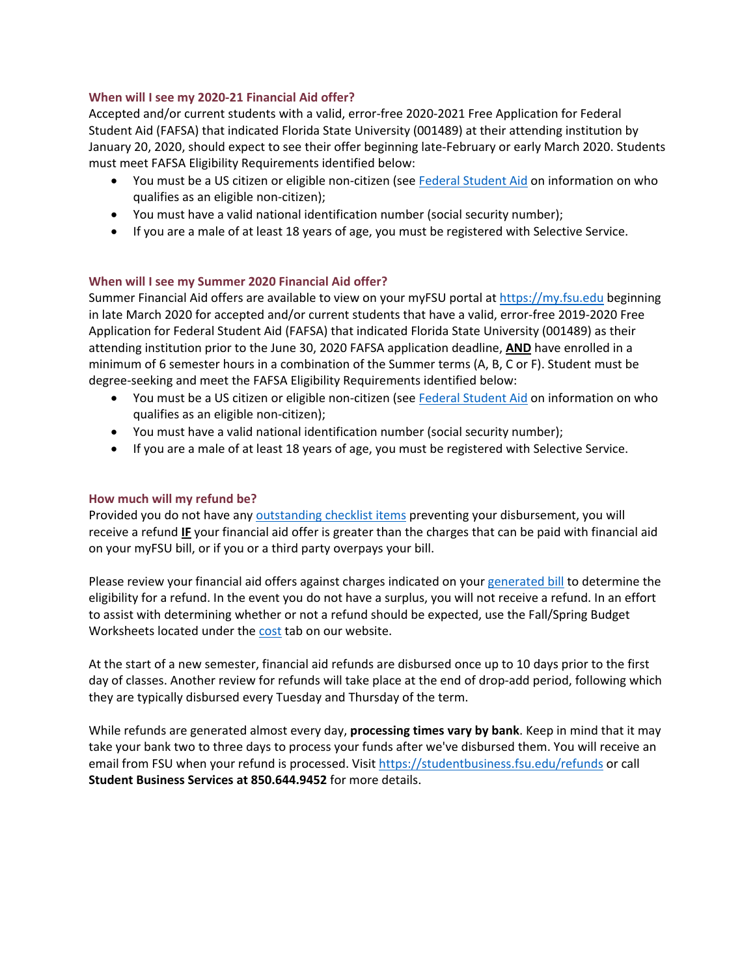## **When will I see my 2020-21 Financial Aid offer?**

Accepted and/or current students with a valid, error-free 2020-2021 Free Application for Federal Student Aid (FAFSA) that indicated Florida State University (001489) at their attending institution by January 20, 2020, should expect to see their offer beginning late-February or early March 2020. Students must meet FAFSA Eligibility Requirements identified below:

- You must be a US citizen or eligible non-citizen (see [Federal Student Aid](https://studentaid.ed.gov/sa/glossary#letter_e) on information on who qualifies as an eligible non-citizen);
- You must have a valid national identification number (social security number);
- If you are a male of at least 18 years of age, you must be registered with Selective Service.

## **When will I see my Summer 2020 Financial Aid offer?**

Summer Financial Aid offers are available to view on your myFSU portal at [https://my.fsu.edu](https://my.fsu.edu/) beginning in late March 2020 for accepted and/or current students that have a valid, error-free 2019-2020 Free Application for Federal Student Aid (FAFSA) that indicated Florida State University (001489) as their attending institution prior to the June 30, 2020 FAFSA application deadline, **AND** have enrolled in a minimum of 6 semester hours in a combination of the Summer terms (A, B, C or F). Student must be degree-seeking and meet the FAFSA Eligibility Requirements identified below:

- You must be a US citizen or eligible non-citizen (see [Federal Student Aid](https://studentaid.ed.gov/sa/glossary#letter_e) on information on who qualifies as an eligible non-citizen);
- You must have a valid national identification number (social security number);
- If you are a male of at least 18 years of age, you must be registered with Selective Service.

## **How much will my refund be?**

Provided you do not have an[y outstanding checklist items](https://financialaid.fsu.edu/resources/office-financial-aid-checklists) preventing your disbursement, you will receive a refund **IF** your financial aid offer is greater than the charges that can be paid with financial aid on your myFSU bill, or if you or a third party overpays your bill.

Please review your financial aid offers against charges indicated on your [generated bill](https://studentbusiness.fsu.edu/generate-invoice) to determine the eligibility for a refund. In the event you do not have a surplus, you will not receive a refund. In an effort to assist with determining whether or not a refund should be expected, use the Fall/Spring Budget Worksheets located under the [cost](https://financialaid.fsu.edu/cost) tab on our website.

At the start of a new semester, financial aid refunds are disbursed once up to 10 days prior to the first day of classes. Another review for refunds will take place at the end of drop-add period, following which they are typically disbursed every Tuesday and Thursday of the term.

While refunds are generated almost every day, **processing times vary by bank**. Keep in mind that it may take your bank two to three days to process your funds after we've disbursed them. You will receive an email from FSU when your refund is processed. Visit<https://studentbusiness.fsu.edu/refunds> or call **Student Business Services at 850.644.9452** for more details.